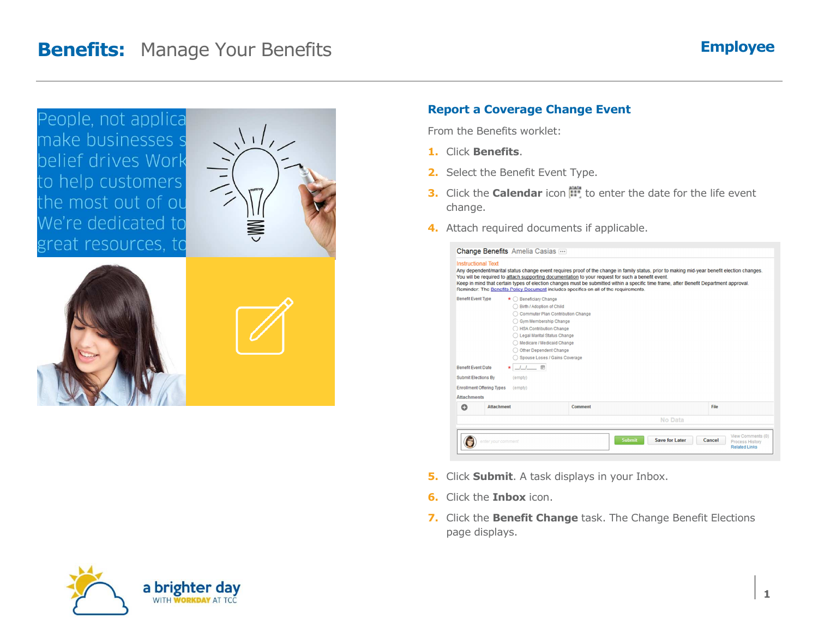### **Benefits:** Manage Your Benefits



#### **Report a Coverage Change Event**

From the Benefits worklet:

- **1.** Click **Benefits**.
- **2.** Select the Benefit Event Type.
- **3.** Click the **Calendar** icon  $\mathbb{H}$  to enter the date for the life event change.
- **4.** Attach required documents if applicable.

| <b>Instructional Text</b>                                                            |                                                                                                                                                                                                                                                          | Any dependent/marital status change event requires proof of the change in family status, prior to making mid-year benefit election changes.<br>You will be required to attach supporting documentation to your request for such a benefit event.<br>Keep in mind that certain types of election changes must be submitted within a specific time frame, after Benefit Department approval.<br>Reminder: The Benefits Policy Document includes specifics on all of the requirements. |                                        |                                                                        |
|--------------------------------------------------------------------------------------|----------------------------------------------------------------------------------------------------------------------------------------------------------------------------------------------------------------------------------------------------------|-------------------------------------------------------------------------------------------------------------------------------------------------------------------------------------------------------------------------------------------------------------------------------------------------------------------------------------------------------------------------------------------------------------------------------------------------------------------------------------|----------------------------------------|------------------------------------------------------------------------|
| <b>Benefit Event Type</b><br><b>Benefit Event Date</b><br><b>Submit Elections By</b> | $\star$ $\bigcirc$ Beneficiary Change<br>Birth / Adoption of Child<br>Gym Membership Change<br><b>HSA Contribution Change</b><br>Legal Marital Status Change<br>Other Dependent Change<br>11 郎<br>(empty)<br><b>Enrollment Offering Types</b><br>(empty) | Commuter Plan Contribution Change<br>Medicare / Medicaid Change<br>Spouse Loses / Gains Coverage                                                                                                                                                                                                                                                                                                                                                                                    |                                        |                                                                        |
| <b>Attachments</b>                                                                   |                                                                                                                                                                                                                                                          |                                                                                                                                                                                                                                                                                                                                                                                                                                                                                     |                                        |                                                                        |
| Q                                                                                    | <b>Attachment</b>                                                                                                                                                                                                                                        | Comment                                                                                                                                                                                                                                                                                                                                                                                                                                                                             |                                        | File                                                                   |
|                                                                                      |                                                                                                                                                                                                                                                          |                                                                                                                                                                                                                                                                                                                                                                                                                                                                                     | No Data                                |                                                                        |
|                                                                                      | enter your comment                                                                                                                                                                                                                                       |                                                                                                                                                                                                                                                                                                                                                                                                                                                                                     | <b>Save for Later</b><br><b>Submit</b> | View Comments (0)<br>Cancel<br>Process History<br><b>Related Links</b> |

- **5.** Click **Submit**. A task displays in your Inbox.
- **6.** Click the **Inbox** icon.
- **7.** Click the **Benefit Change** task. The Change Benefit Elections page displays.

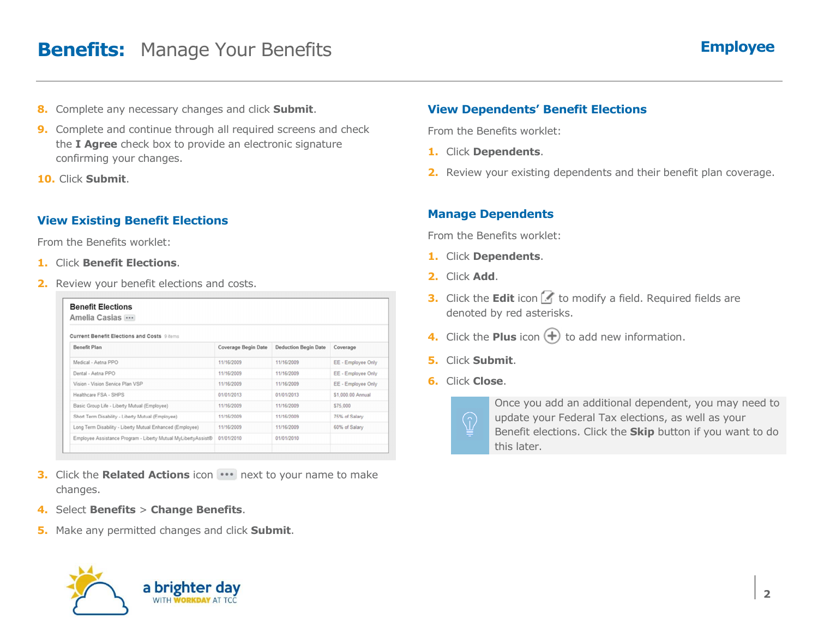### **Benefits:** Manage Your Benefits

- **8.** Complete any necessary changes and click **Submit**.
- **9.** Complete and continue through all required screens and check the **I Agree** check box to provide an electronic signature confirming your changes.
- **10.** Click **Submit**.

### **View Existing Benefit Elections**

From the Benefits worklet:

- **1.** Click **Benefit Elections**.
- **2.** Review your benefit elections and costs.

| Amelia Casias                                                 |                     |                             |                    |  |  |  |  |
|---------------------------------------------------------------|---------------------|-----------------------------|--------------------|--|--|--|--|
| <b>Current Benefit Elections and Costs 9 items</b>            |                     |                             |                    |  |  |  |  |
| <b>Benefit Plan</b>                                           | Coverage Begin Date | <b>Deduction Begin Date</b> | Coverage           |  |  |  |  |
| Medical - Aetna PPO                                           | 11/16/2009          | 11/16/2009                  | EE - Employee Only |  |  |  |  |
| Dental - Aetna PPO                                            | 11/16/2009          | 11/16/2009                  | EE - Employee Only |  |  |  |  |
| Vision - Vision Service Plan VSP                              | 11/16/2009          | 11/16/2009                  | EE - Employee Only |  |  |  |  |
| Healthcare FSA - SHPS                                         | 01/01/2013          | 01/01/2013                  | \$1,000.00 Annual  |  |  |  |  |
| Basic Group Life - Liberty Mutual (Employee)                  | 11/16/2009          | 11/16/2009                  | \$75,000           |  |  |  |  |
| Short Term Disability - Liberty Mutual (Employee)             | 11/16/2009          | 11/16/2009                  | 75% of Salary      |  |  |  |  |
| Long Term Disability - Liberty Mutual Enhanced (Employee)     | 11/16/2009          | 11/16/2009                  | 60% of Salary      |  |  |  |  |
| Employee Assistance Program - Liberty Mutual MyLibertyAssist® | 01/01/2010          | 01/01/2010                  |                    |  |  |  |  |

- **3.** Click the **Related Actions** icon **...** next to your name to make changes.
- **4.** Select **Benefits** <sup>&</sup>gt;**Change Benefits**.
- **5.** Make any permitted changes and click **Submit**.



#### **View Dependents' Benefit Elections**

From the Benefits worklet:

- **1.** Click **Dependents**.
- **2.** Review your existing dependents and their benefit plan coverage.

#### **Manage Dependents**

From the Benefits worklet:

- **1.** Click **Dependents**.
- **2.** Click **Add**.
- **3.** Click the **Edit** icon **T** to modify a field. Required fields are denoted by red asterisks.
- **4.** Click the **Plus** icon  $\bigoplus$  to add new information.
- **5.** Click **Submit**.
- **6.** Click **Close**.



Once you add an additional dependent, you may need to update your Federal Tax elections, as well as your Benefit elections. Click the **Skip** button if you want to do this later.